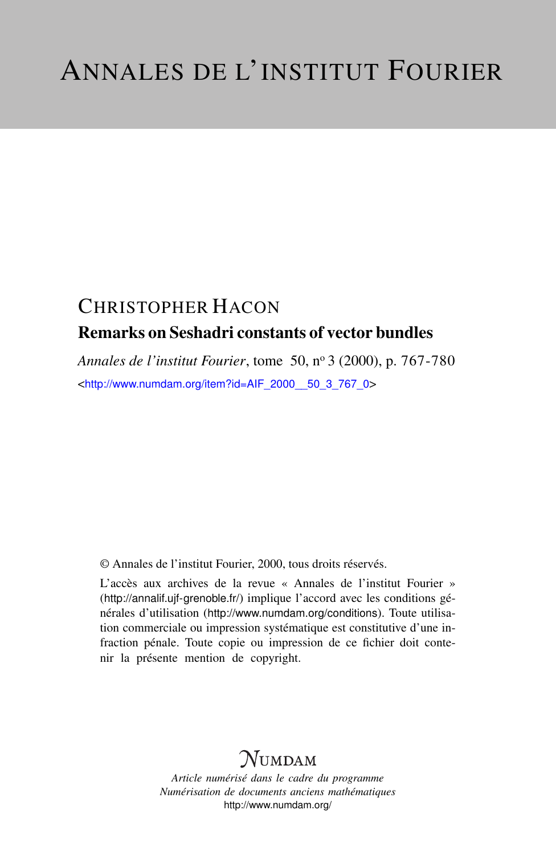# CHRISTOPHER HACON Remarks on Seshadri constants of vector bundles

*Annales de l'institut Fourier*, tome 50, n<sup>o</sup> 3 (2000), p. 767-780 <[http://www.numdam.org/item?id=AIF\\_2000\\_\\_50\\_3\\_767\\_0](http://www.numdam.org/item?id=AIF_2000__50_3_767_0)>

© Annales de l'institut Fourier, 2000, tous droits réservés.

L'accès aux archives de la revue « Annales de l'institut Fourier » (<http://annalif.ujf-grenoble.fr/>) implique l'accord avec les conditions générales d'utilisation (<http://www.numdam.org/conditions>). Toute utilisation commerciale ou impression systématique est constitutive d'une infraction pénale. Toute copie ou impression de ce fichier doit contenir la présente mention de copyright.

# NUMDAM

*Article numérisé dans le cadre du programme Numérisation de documents anciens mathématiques* <http://www.numdam.org/>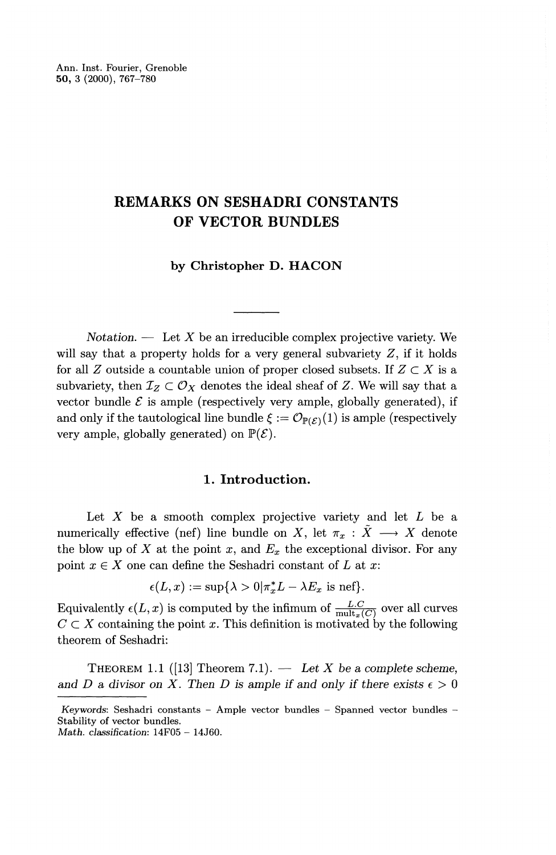Ann. Inst. Fourier, Grenoble **50,** 3 (2000), 767-780

## **REMARKS ON SESHADRI CONSTANTS OF VECTOR BUNDLES**

**by Christopher D. HACON**

*Notation.* — Let X be an irreducible complex projective variety. We will say that a property holds for a very general subvariety  $Z$ , if it holds for all *Z* outside a countable union of proper closed subsets. If  $Z \subset X$  is a subvariety, then  $\mathcal{I}_Z \subset \mathcal{O}_X$  denotes the ideal sheaf of Z. We will say that a vector bundle  $\mathcal E$  is ample (respectively very ample, globally generated), if and only if the tautological line bundle  $\xi := \mathcal{O}_{\mathbb{P}(\mathcal{E})}(1)$  is ample (respectively very ample, globally generated) on  $\mathbb{P}(\mathcal{E})$ .

### **1. Introduction.**

Let X be a smooth complex projective variety and let *L* be a numerically effective (nef) line bundle on X, let  $\pi_x : \tilde{X} \longrightarrow X$  denote the blow up of  $X$  at the point  $x$ , and  $E_x$  the exceptional divisor. For any point  $x \in X$  one can define the Seshadri constant of *L* at *x* 

can define the sesnaur constant of L at  

$$
\epsilon(L, x) := \sup \{ \lambda > 0 | \pi_x^* L - \lambda E_x \text{ is nef} \}.
$$

Equivalently  $\epsilon(L, x)$  is computed by the infimum of  $\frac{L.C}{\text{mult}(C)}$  over all curv  $C \subset X$  containing the point *x*. This definition is motivated by the following theorem of Seshadri:

THEOREM 1.1 ([13] Theorem 7.1). — *Let X be a complete scheme,* and *D* a divisor on *X*. Then *D* is ample if and only if there exists  $\epsilon > 0$ 

Keywords: Seshadri constants - Ample vector bundles - Spanned vector bundles - Stability of vector bundles. *Math. classification:* 14F05 - 14J60.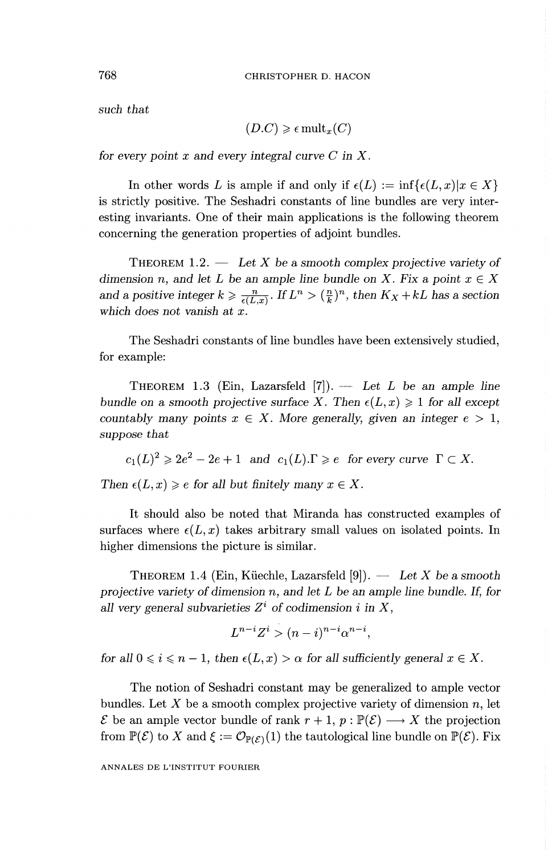such *that*

$$
(D.C) \geq \epsilon \operatorname{mult}_x(C)
$$

*for every point x and every integral curve C in X.*

In other words L is ample if and only if  $\epsilon(L) := \inf \{ \epsilon(L,x) | x \in X \}$ is strictly positive. The Seshadri constants of line bundles are very interesting invariants. One of their main applications is the following theorem concerning the generation properties of adjoint bundles.

THEOREM 1.2. — *Let X be a smooth complex projective variety of dimension n, and let L be an ample line bundle on X. Fix a point*  $x \in X$ and a positive integer  $k \geqslant \frac{n}{\epsilon(L,x)}$ . If  $L^n > (\frac{n}{k})^n$ , then  $K_X + kL$  has a section *which does not vanish at x.*

The Seshadri constants of line bundles have been extensively studied, for example:

THEOREM 1.3 (Ein, Lazarsfeld [7]). — *Let L be an ample line bundle on a smooth projective surface X. Then*  $\epsilon(L,x) \geq 1$  *for all except countably many points*  $x \in X$ *. More generally, given an integer*  $e > 1$ *, suppose that*

 $c_1(L)^2 \geqslant 2e^2 - 2e + 1$  and  $c_1(L) . \Gamma \geqslant e$  for every curve  $\Gamma \subset X$ .

*Then*  $\epsilon(L, x) \geq e$  for all but finitely many  $x \in X$ .

It should also be noted that Miranda has constructed examples of surfaces where  $\epsilon(L,x)$  takes arbitrary small values on isolated points. In higher dimensions the picture is similar.

THEOREM 1.4 (Ein, Küechle, Lazarsfeld [9]). — Let X be a smooth *projective variety of dimension n, and let L be an ample line bundle. If, for all very general subvarieties*  $Z^i$  *of codimension i in X*,

$$
L^{n-i}Z^i > (n-i)^{n-i} \alpha^{n-i},
$$

*for all*  $0 \le i \le n - 1$ *, then*  $\epsilon(L, x) > \alpha$  *for all sufficiently general*  $x \in X$ *.* 

The notion of Seshadri constant may be generalized to ample vector bundles. Let X be a smooth complex projective variety of dimension *n,* let  $\mathcal E$  be an ample vector bundle of rank  $r + 1$ ,  $p : \mathbb{P}(\mathcal E) \longrightarrow X$  the projection from  $\mathbb{P}(\mathcal{E})$  to X and  $\xi := \mathcal{O}_{\mathbb{P}(\mathcal{E})}(1)$  the tautological line bundle on  $\mathbb{P}(\mathcal{E})$ . Fix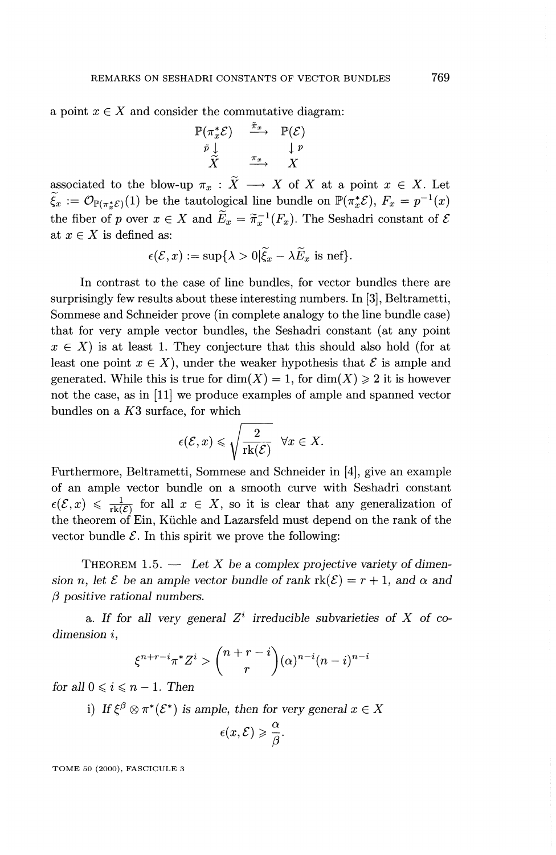a point  $x \in X$  and consider the commutative diagram:<br>  $\mathbb{P}(\pi_x^*\mathcal{E}) \xrightarrow{\tilde{\pi}_x} \mathbb{P}(\mathcal{E})$ 

$$
\begin{array}{ccc}\n\mathbb{P}(\pi_x^* \mathcal{E}) & \xrightarrow{\pi_x} & \mathbb{P}(\mathcal{E}) \\
\bar{p} \downarrow & & \downarrow p \\
\widetilde{X} & \xrightarrow{\pi_x} & X\n\end{array}
$$

associated to the blow-up  $\pi_x : \tilde{X} \longrightarrow X$  of X at a point  $x \in X$ . Let  $\widetilde{\xi}_x := \mathcal{O}_{\mathbb{P}(\pi_x^*\mathcal{E})}(1)$  be the tautological line bundle on  $\mathbb{P}(\pi_x^*\mathcal{E}), F_x = p^{-1}(x)$ the fiber of p over  $x \in X$  and  $\widetilde{E}_x = \widetilde{\pi}_x^{-1}(F_x)$ . The Seshadri constant of  $\mathcal E$ at  $x \in X$  is defined as:

$$
\epsilon(\mathcal{E}, x) := \sup \{ \lambda > 0 | \widetilde{\xi}_x - \lambda \widetilde{E}_x \text{ is nef} \}.
$$

In contrast to the case of line bundles, for vector bundles there are surprisingly few results about these interesting numbers. In [3], Beltrametti, Sommese and Schneider prove (in complete analogy to the line bundle case) that for very ample vector bundles, the Seshadri constant (at any point  $x \in X$ ) is at least 1. They conjecture that this should also hold (for at least one point  $x \in X$ , under the weaker hypothesis that  $\mathcal E$  is ample and generated. While this is true for  $\dim(X) = 1$ , for  $\dim(X) \geq 2$  it is however not the case, as in [11] we produce examples of ample and spanned vector bundles on a *K3* surface, for which

$$
\epsilon(\mathcal{E},x) \leqslant \sqrt{\frac{2}{\mathrm{rk}(\mathcal{E})}} \quad \forall x \in X.
$$

Furthermore, Beltrametti, Sommese and Schneider in [4], give an example of an ample vector bundle on a smooth curve with Seshadri constant  $\epsilon(\mathcal{E}, x) \leq \frac{1}{rk(\mathcal{E})}$  for all  $x \in X$ , so it is clear that any generalization of the theorem of Ein, Küchle and Lazarsfeld must depend on the rank of the vector bundle  $\mathcal E$ . In this spirit we prove the following:

THEOREM 1.5. — *Let X be a complex projective variety of dimension n*, let  $\mathcal{E}$  be an ample vector bundle of rank  $rk(\mathcal{E}) = r + 1$ , and  $\alpha$  and *(3 positive rational numbers.*

a. If for all very general  $Z^i$  irreducible subvarieties of X of co*dimension i,*

$$
\xi^{n+r-i}\pi^*Z^i > \binom{n+r-i}{r}(\alpha)^{n-i}(n-i)^{n-i}
$$

*for all*  $0 \le i \le n - 1$ . Then

i) If 
$$
\xi^{\beta} \otimes \pi^*(\mathcal{E}^*)
$$
 is ample, then for very general  $x \in X$   
 $\epsilon(x, \mathcal{E}) \geq \frac{\alpha}{\beta}$ .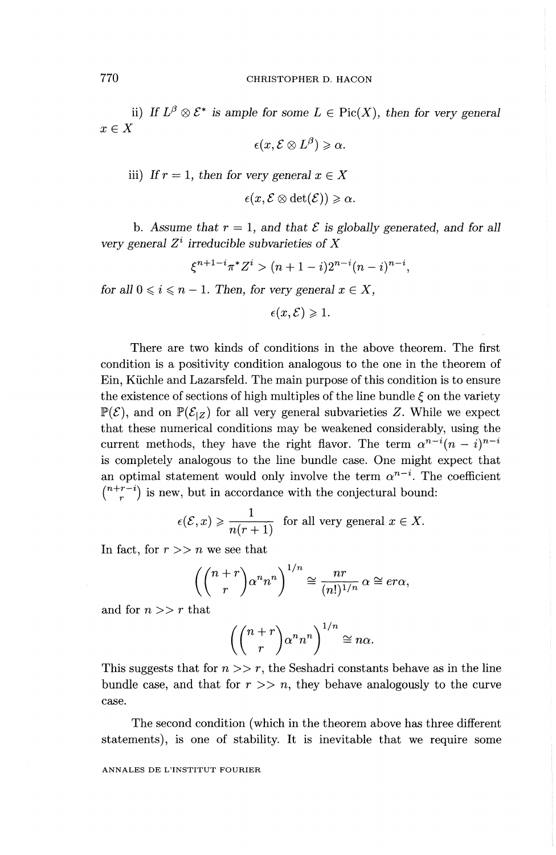### 770 CHRISTOPHER D. HACON

ii) If  $L^{\beta} \otimes \mathcal{E}^*$  is ample for some  $L \in Pic(X)$ , then for very general  $x \in X$ 

$$
\epsilon(x, \mathcal{E} \otimes L^{\beta}) \geqslant \alpha.
$$

iii) If 
$$
r = 1
$$
, then for very general  $x \in X$ 

$$
\epsilon(x,\mathcal{E}\otimes\det(\mathcal{E}))\geqslant\alpha.
$$

b. Assume that  $r = 1$ , and that  $\mathcal E$  is globally generated, and for all *very general*  $Z^i$  *irreducible subvarieties of*  $X$   $\xi^{n+1-i}\pi^* Z^i > (n+1-i)2^{n-i}(n-i)^{n-i}$ 

$$
\xi^{n+1-i}\pi^*Z^i > (n+1-i)2^{n-i}(n-i)^{n-i},
$$

*for all*  $0 \leq i \leq n - 1$ . Then, for very general  $x \in X$ ,

 $\epsilon(x,\mathcal{E})\geqslant 1.$ 

There are two kinds of conditions in the above theorem. The first condition is a positivity condition analogous to the one in the theorem of Ein, Klichle and Lazarsfeld. The main purpose of this condition is to ensure the existence of sections of high multiples of the line bundle  $\xi$  on the variety  $\mathbb{P}(\mathcal{E})$ , and on  $\mathbb{P}(\mathcal{E}_{Z})$  for all very general subvarieties Z. While we expect that these numerical conditions may be weakened considerably, using the current methods, they have the right flavor. The term  $\alpha^{n-i} (n-i)^{n-i}$ is completely analogous to the line bundle case. One might expect that an optimal statement would only involve the term  $\alpha^{n-i}$ . The coefficient  $\binom{n+r-i}{r}$  is new, but in accordance with the conjectural bound:

$$
\epsilon(\mathcal{E}, x) \geqslant \frac{1}{n(r+1)}
$$
 for all very general  $x \in X$ .

In fact, for  $r \gg n$  we see that

$$
\left(\binom{n+r}{r}\alpha^n n^n\right)^{1/n} \cong \frac{nr}{(n!)^{1/n}} \alpha \cong er\alpha,
$$

and for  $n >> r$  that

$$
\left(\binom{n+r}{r} \alpha^n n^n\right)^{1/n} \cong n\alpha.
$$

This suggests that for  $n \gg r$ , the Seshadri constants behave as in the line bundle case, and that for  $r \gg n$ , they behave analogously to the curve case.

The second condition (which in the theorem above has three different statements), is one of stability. It is inevitable that we require some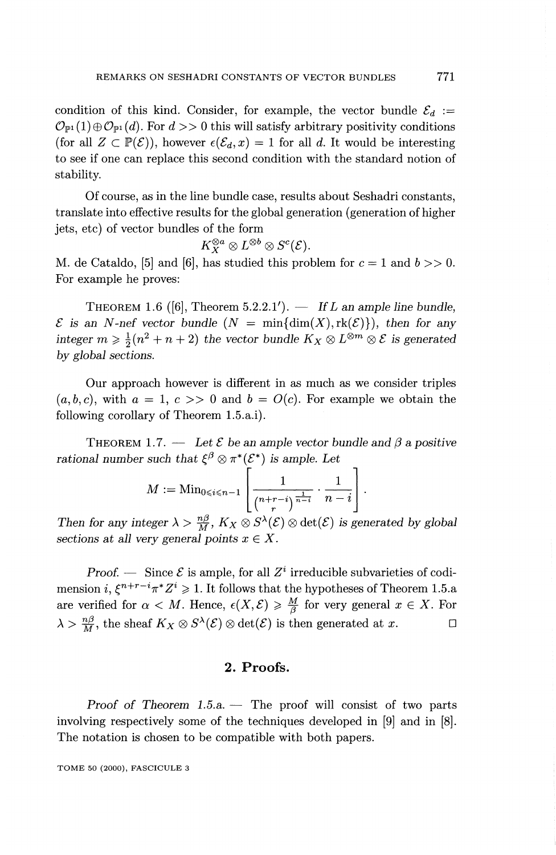condition of this kind. Consider, for example, the vector bundle  $\mathcal{E}_d := \mathcal{O}_{\mathbb{P}^1}(1) \oplus \mathcal{O}_{\mathbb{P}^1}(d)$ . For  $d >> 0$  this will satisfy arbitrary positivity conditions (for all  $Z \subset \mathbb{P}(\mathcal{E})$ ), however  $\epsilon(\mathcal{E}_d, x) = 1$  for all d. It would be interesting to see if one can replace this second condition with the standard notion of stability.

Of course, as in the line bundle case, results about Seshadri constants, translate into effective results for the global generation (generation of higher jets, etc) of vector bundles of the form

$$
K_X^{\otimes a}\otimes L^{\otimes b}\otimes S^c({\mathcal E}).
$$

*M.* de Cataldo, [5] and [6], has studied this problem for  $c = 1$  and  $b >> 0$ . For example he proves:

THEOREM 1.6 ( $[6]$ , Theorem 5.2.2.1').  $\qquad$  If L an ample line bundle,  $\mathcal E$  is an *N*-nef vector bundle  $(N = \min\{\dim(X), \text{rk}(\mathcal E)\})$ , then for any  $\therefore$  *integer m*  $\geq \frac{1}{2}(n^2 + n + 2)$  the vector bundle  $K_X \otimes L^{\otimes m} \otimes \mathcal{E}$  is generated *by global sections.*

Our approach however is different in as much as we consider triples  $(a, b, c)$ , with  $a = 1, c \gg 0$  and  $b = O(c)$ . For example we obtain the following corollary of Theorem 1.5.a.i).

THEOREM 1.7. — Let  $\mathcal E$  be an ample vector bundle and  $\beta$  a positive  $rational$  number such that  $\xi^{\beta}\otimes \pi^*(\mathcal{E}^*)$  is ample. Let

$$
M:= {\rm Min}_{0\leqslant i\leqslant n-1} \left\lfloor \frac{1}{\binom{n+r-i}{r}^{\frac{1}{n-i}}} \cdot \frac{1}{n-i} \right\rfloor.
$$

*Then for any integer*  $\lambda > \frac{n\beta}{M}$ ,  $K_X \otimes S^{\lambda}(\mathcal{E}) \otimes \det(\mathcal{E})$  *is generated by global sections at all very general points*  $x \in X$ *.* 

*Proof.* — Since  $\mathcal{E}$  is ample, for all  $Z^i$  irreducible subvarieties of codimension  $i, \xi^{n+r-i}\pi^*Z^i \geqslant 1$ . It follows that the hypotheses of Theorem 1.5.a are verified for  $\alpha < M$ . Hence,  $\epsilon(X, \mathcal{E}) \geq \frac{M}{\beta}$  for very general  $x \in X$ . For  $\lambda > \frac{n\beta}{M}$ , the sheaf  $K_X \otimes S^{\lambda}(\mathcal{E}) \otimes \det(\mathcal{E})$  is then generated at  $x$ .

### **2. Proofs.**

*Proof of Theorem 1.5. a. —* The proof will consist of two parts involving respectively some of the techniques developed in [9] and in [8]. The notation is chosen to be compatible with both papers.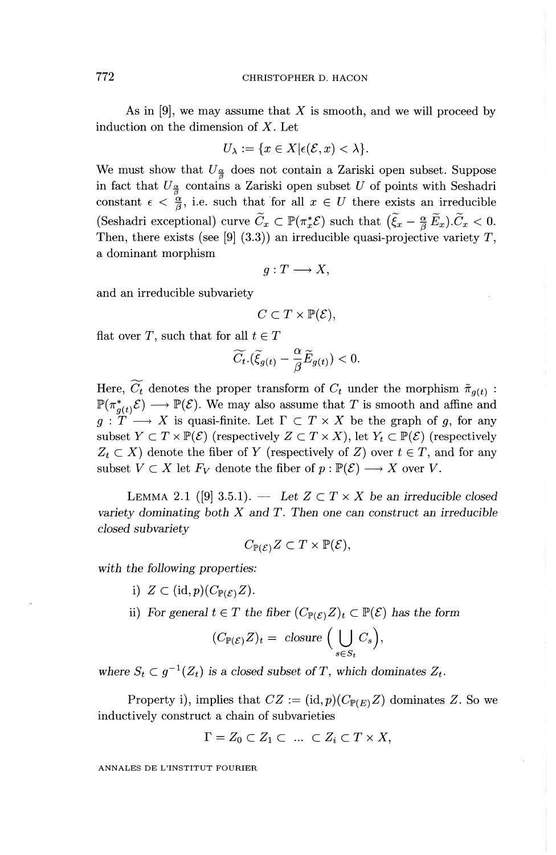As in [9], we may assume that *X* is smooth, and we will proceed by induction on the dimension of  $X$ . Let

$$
U_{\lambda} := \{ x \in X | \epsilon(\mathcal{E}, x) < \lambda \}.
$$

We must show that  $U_{\frac{\alpha}{2}}$  does not contain a Zariski open subset. Suppose in fact that  $U_{\frac{\alpha}{2}}$  contains a Zariski open subset U of points with Seshadri constant  $\epsilon < \frac{\alpha}{\beta}$ , i.e. such that for all  $x \in U$  there exists an irreducible (Seshadri exceptional) curve  $\widetilde{C}_x \subset \mathbb{P}(\pi_x^*\mathcal{E})$  such that  $(\widetilde{\xi}_x - \frac{\alpha}{\beta}\widetilde{E}_x).\widetilde{C}_x < 0$ . Then, there exists (see [9] (3.3)) an irreducible quasi-projective variety  $T$ , a dominant morphism

$$
g: T \longrightarrow X,
$$

and an irreducible subvariety

$$
C \subset T \times \mathbb{P}(\mathcal{E}),
$$

flat over T, such that for all  $t \in T$ 

$$
\widetilde{C}_t.(\widetilde{\xi}_{g(t)}-\frac{\alpha}{\beta}\widetilde{E}_{g(t)})<0.
$$

Here,  $\widetilde{C_t}$  denotes the proper transform of  $C_t$  under the morphism  $\tilde{\pi}_{g(t)}$  :  $\mathbb{P}(\pi_{a(t)}^*, \mathcal{E}) \longrightarrow \mathbb{P}(\mathcal{E})$ . We may also assume that T is smooth and affine and  $g: T \longrightarrow X$  is quasi-finite. Let  $\Gamma \subset T \times X$  be the graph of g, for any subset  $Y \subset T \times \mathbb{P}(\mathcal{E})$  (respectively  $Z \subset T \times X$ ), let  $Y_t \subset \mathbb{P}(\mathcal{E})$  (respectively  $Z_t \subset X$ ) denote the fiber of *Y* (respectively of *Z*) over  $t \in T$ , and for any subset  $V \subset X$  let  $F_V$  denote the fiber of  $p : \mathbb{P}(\mathcal{E}) \longrightarrow X$  over V.

LEMMA 2.1 ([9] 3.5.1). — Let  $Z \subset T \times X$  be an irreducible closed *variety dominating both X and T. Then one can construct an irreducible closed subvariety*

$$
C_{\mathbb{P}(\mathcal{E})}Z \subset T \times \mathbb{P}(\mathcal{E}),
$$

with *the following properties:*

- i)  $Z\subset(\mathrm{id},p)(C_{\mathbb{P}(\mathcal{E})}Z).$
- ii) For general  $t \in T$  the fiber  $(C_{\mathbb{P}(\mathcal{E})}Z)_t \subset \mathbb{P}(\mathcal{E})$  has the form

$$
(C_{\mathbb{P}(\mathcal{E})}Z)_t = \text{ closure } \Big(\bigcup_{s \in S_t} C_s\Big),
$$

where  $S_t \subset g^{-1}(Z_t)$  is a closed subset of T, which dominates  $Z_t$ .

Property i), implies that  $CZ := (\text{id}, p)(C_{\mathbb{P}(E)}Z)$  dominates Z. So we inductively construct a chain of subvarieties

$$
\Gamma = Z_0 \subset Z_1 \subset \ldots \subset Z_i \subset T \times X,
$$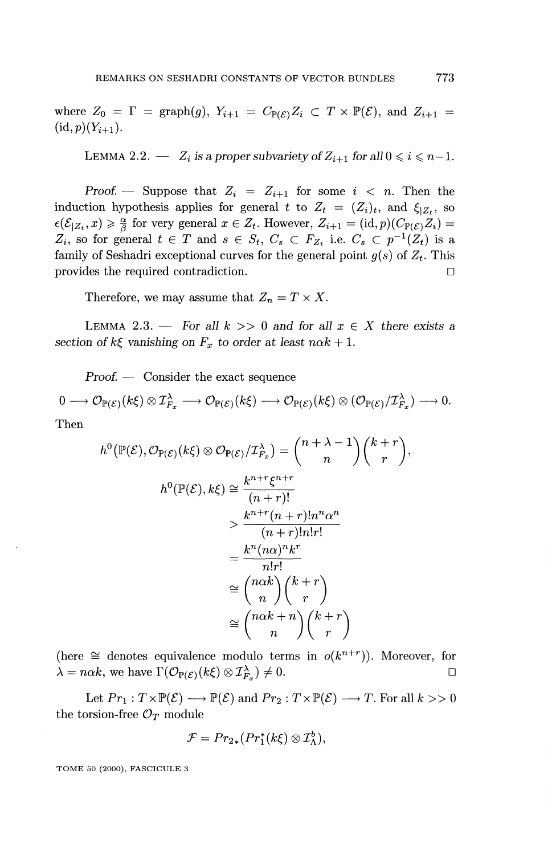where  $Z_0 = \Gamma = \text{graph}(g), Y_{i+1} = C_{\mathbb{P}(\mathcal{E})} Z_i \subset T \times \mathbb{P}(\mathcal{E}),$  and  $Z_{i+1} =$  $(id, p)(Y_{i+1}).$ 

LEMMA 2.2.  $Z_i$  is a proper subvariety of  $Z_{i+1}$  for all  $0 \leq i \leq n-1$ .

Proof. — Suppose that  $Z_i = Z_{i+1}$  for some  $i < n$ . Then the induction hypothesis applies for general t to  $Z_t = (Z_i)_t$ , and  $\xi_{|Z_t}$ , so  $\epsilon(\mathcal{E}_{|Z_t},x) \geqslant \frac{\alpha}{\beta}$  for very general  $x \in Z_t$ . However,  $Z_{i+1} = (\mathrm{id},p)(C_{\mathbb{P}(\mathcal{E})}Z_i) =$  $Z_i$ , so for general  $t \in T$  and  $s \in S_t$ ,  $C_s \subset F_{Z_t}$  i.e.  $C_s \subset p^{-1}(Z_t)$  is a family of Seshadri exceptional curves for the general point  $g(s)$  of  $Z_t$ . This provides the required contradiction.

Therefore, we may assume that  $Z_n = T \times X$ .

LEMMA 2.3. — For all  $k \geq 0$  and for all  $x \in X$  there exists a *section of k* $\xi$  vanishing on  $F_x$  to order at least n $\alpha k + 1$ .

*Proof. —* Consider the exact sequence

$$
0 \longrightarrow \mathcal{O}_{\mathbb{P}(\mathcal{E})}(k\xi) \otimes \mathcal{I}_{F_x}^{\lambda} \longrightarrow \mathcal{O}_{\mathbb{P}(\mathcal{E})}(k\xi) \longrightarrow \mathcal{O}_{\mathbb{P}(\mathcal{E})}(k\xi) \otimes (\mathcal{O}_{\mathbb{P}(\mathcal{E})}/\mathcal{I}_{F_x}^{\lambda}) \longrightarrow 0.
$$

Then

$$
h^{0}(\mathbb{P}(\mathcal{E}), \mathcal{O}_{\mathbb{P}(\mathcal{E})}(k\xi) \otimes \mathcal{O}_{\mathbb{P}(\mathcal{E})}/\mathcal{I}_{F_{x}}^{\lambda}) = {n + \lambda - 1 \choose n} {k + r \choose r},
$$
  
\n
$$
h^{0}(\mathbb{P}(\mathcal{E}), k\xi) \cong \frac{k^{n+r}\xi^{n+r}}{(n+r)!}
$$
  
\n
$$
> \frac{k^{n+r}(n+r)!n!r!}{(n+r)!n!r!}
$$
  
\n
$$
= \frac{k^{n}(n\alpha)^{n}k^{r}}{n!r!}
$$
  
\n
$$
\cong {n\alpha k \choose n} {k + r \choose r}
$$
  
\n
$$
\cong {n\alpha k + n \choose n} {k + r \choose r}
$$

(here  $\cong$  denotes equivalence modulo terms in  $o(k^{n+r})$ ). Moreover, for  $\lambda = n\alpha k$ , we have  $\Gamma(\mathcal{O}_{\mathbb{P}(\mathcal{E})}(k\xi) \otimes \mathcal{I}^{\lambda}_{F_r}) \neq 0.$ 

Let  $Pr_1: T \times \mathbb{P}(\mathcal{E}) \longrightarrow \mathbb{P}(\mathcal{E})$  and  $Pr_2: T \times \mathbb{P}(\mathcal{E}) \longrightarrow T$ . For all  $k >> 0$ the torsion-free  $\mathcal{O}_T$  module

$$
\mathcal{F} = Pr_{2*}(Pr_1^*(k\xi) \otimes \mathcal{I}_{\Lambda}^b),
$$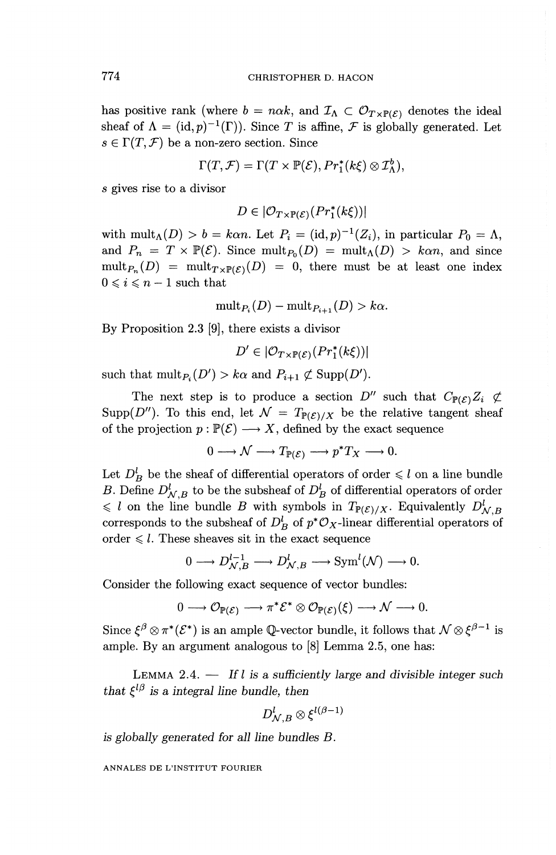has positive rank (where  $b = n\alpha k$ , and  $\mathcal{I}_{\Lambda} \subset \mathcal{O}_{T \times P(\mathcal{E})}$  denotes the ideal sheaf of  $\Lambda = (\mathrm{id}, p)^{-1}(\Gamma)$ ). Since T is affine, F is globally generated. Let  $s \in \Gamma(T, \mathcal{F})$  be a non-zero section. Since

$$
\Gamma(T,\mathcal{F}) = \Gamma(T \times \mathbb{P}(\mathcal{E}), Pr_1^*(k\xi) \otimes \mathcal{I}_{\Lambda}^b),
$$

s gives rise to a divisor

$$
D \in |\mathcal{O}_{T \times \mathbb{P}(\mathcal{E})}(Pr_1^*(k\xi))|
$$

with mult<sub> $\Lambda$ </sub> $(D) > b = k \alpha n$ . Let  $P_i = (id, p)^{-1}(Z_i)$ , in particular  $P_0 = \Lambda$ , and  $P_n = T \times \mathbb{P}(\mathcal{E})$ . Since mult<sub> $P_0(D) = \text{mult}_{\Lambda}(D) > k\alpha n$ , and since</sub>  $\text{mult}_{P_n}(D) = \text{mult}_{T\times\mathbb{P}(\mathcal{E})}(D) = 0$ , there must be at least one index  $0 \leq i \leq n-1$  such that

$$
\operatorname{mult}_{P_i}(D) - \operatorname{mult}_{P_{i+1}}(D) > k\alpha.
$$

By Proposition 2.3 [9], there exists a divisor

$$
D' \in |\mathcal{O}_{T \times \mathbb{P}(\mathcal{E})}(Pr_1^*(k\xi))|
$$

such that  $\text{mult}_{P_i}(D') > k\alpha$  and  $P_{i+1} \not\subset \text{Supp}(D').$ 

The next step is to produce a section  $D''$  such that  $C_{\mathbb{P}(\mathcal{E})}Z_i \not\subset$ Supp(D''). To this end, let  $\mathcal{N} = T_{\mathbb{P}(\mathcal{E})/X}$  be the relative tangent sheaf of the projection  $p : \mathbb{P}(\mathcal{E}) \longrightarrow X$ , defined by the exact sequence

 $0 \longrightarrow \mathcal{N} \longrightarrow T_{\mathbb{P}(\mathcal{E})} \longrightarrow p^*T_X \longrightarrow 0.$ 

Let  $D^l_{\mathcal{B}}$  be the sheaf of differential operators of order  $\leqslant l$  on a line bundle *B*. Define  $D^l_{\mathcal{N}}$  is to be the subsheaf of  $D^l_{\mathcal{R}}$  of differential operators of order  $\leq l$  on the line bundle *B* with symbols in  $T_{P(\mathcal{E})/X}$ . Equivalently  $D^l_{N}$ corresponds to the subsheaf of  $D^l_B$  of  $p^* \mathcal{O}_X$ -linear differential operators of order  $\leq l$ . These sheaves sit in the exact sequence

$$
0\longrightarrow D^{l-1}_{\mathcal{N},B}\longrightarrow D^l_{\mathcal{N},B}\longrightarrow {\operatorname{Sym}}^l(\mathcal{N})\longrightarrow 0.
$$

Consider the following exact sequence of vector bundles:

$$
0 \longrightarrow \mathcal{O}_{\mathbb{P}(\mathcal{E})} \longrightarrow \pi^* \mathcal{E}^* \otimes \mathcal{O}_{\mathbb{P}(\mathcal{E})}(\xi) \longrightarrow \mathcal{N} \longrightarrow 0.
$$

Since  $\xi^{\beta} \otimes \pi^*(\mathcal{E}^*)$  is an ample Q-vector bundle, it follows that  $\mathcal{N} \otimes \xi^{\beta-1}$  is ample. By an argument analogous to [8] Lemma 2.5, one has:

LEMMA 2.4. — *If I is a sufficiently large and divisible integer such that*  $\xi^{l\beta}$  *is a integral line bundle, then* 

$$
D^l_{\mathcal{N},B}\otimes \xi^{l(\beta-1)}
$$

*is globally generated for all line bundles B.*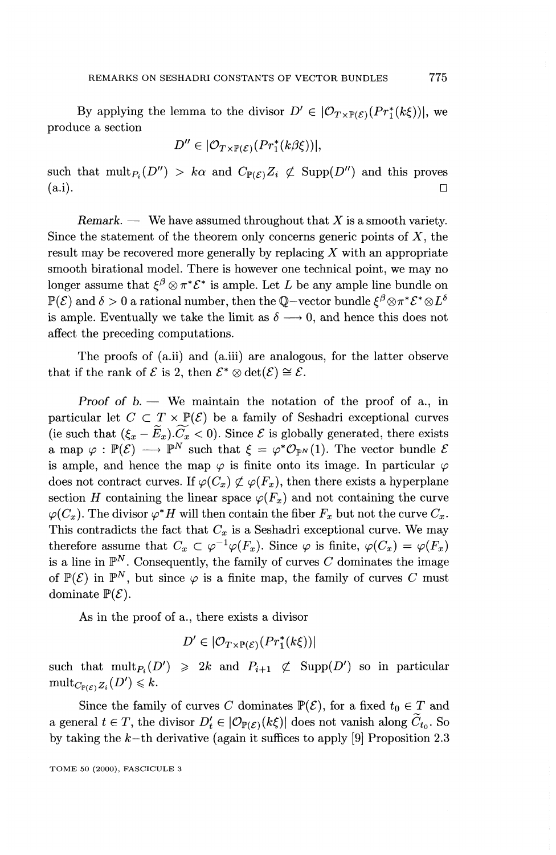By applying the lemma to the divisor  $D' \in |O_{T\times\mathbb{P}(\mathcal{E})}(Pr_1^*(k\xi))|$ , we produce a section

$$
D'' \in |\mathcal{O}_{T \times \mathbb{P}(\mathcal{E})}(Pr_1^*(k\beta \xi))|,
$$

such that  $\text{mult}_{P_i}(D'') > k\alpha$  and  $C_{\mathbb{P}(\mathcal{E})}Z_i \not\subset \text{Supp}(D'')$  and this proves  $(a.i).$ 

*Remark. —* We have assumed throughout that *X* is a smooth variety. Since the statement of the theorem only concerns generic points of  $X$ , the result may be recovered more generally by replacing *X* with an appropriate smooth birational model. There is however one technical point, we may no longer assume that  $\xi^{\beta} \otimes \pi^* \mathcal{E}^*$  is ample. Let *L* be any ample line bundle on  $\mathbb{P}(\mathcal{E})$  and  $\delta > 0$  a rational number, then the Q-vector bundle  $\mathcal{E}^{\beta} \otimes \pi^* \mathcal{E}^* \otimes L^{\delta}$ is ample. Eventually we take the limit as  $\delta \longrightarrow 0$ , and hence this does not affect the preceding computations.

The proofs of (a.ii) and (a.iii) are analogous, for the latter observe that if the rank of  $\mathcal E$  is 2, then  $\mathcal E^* \otimes \det(\mathcal E) \cong \mathcal E$ .

*Proof of b.* — We maintain the notation of the proof of a., in particular let  $C \subset T \times \mathbb{P}(\mathcal{E})$  be a family of Seshadri exceptional curves (ie such that  $(\xi_x - \widetilde{E}_x).\widetilde{C}_x < 0$ ). Since  $\mathcal E$  is globally generated, there exists a map  $\varphi : \mathbb{P}(\mathcal{E}) \longrightarrow \mathbb{P}^N$  such that  $\xi = \varphi^* \mathcal{O}_{\mathbb{P}^N}(1)$ . The vector bundle  $\mathcal{E}$ is ample, and hence the map  $\varphi$  is finite onto its image. In particular  $\varphi$ does not contract curves. If  $\varphi(C_x) \not\subset \varphi(F_x)$ , then there exists a hyperplane section *H* containing the linear space  $\varphi(F_x)$  and not containing the curve  $\varphi(C_x)$ . The divisor  $\varphi^* H$  will then contain the fiber  $F_x$  but not the curve  $C_x$ . This contradicts the fact that  $C_x$  is a Seshadri exceptional curve. We may therefore assume that  $C_x \subset \varphi^{-1}\varphi(F_x)$ . Since  $\varphi$  is finite,  $\varphi(C_x) = \varphi(F_x)$ is a line in  $\mathbb{P}^N$ . Consequently, the family of curves  $C$  dominates the image of  $\mathbb{P}(\mathcal{E})$  in  $\mathbb{P}^N$ , but since  $\varphi$  is a finite map, the family of curves C must dominate  $\mathbb{P}(\mathcal{E})$ .

As in the proof of a., there exists a divisor

$$
D' \in |\mathcal{O}_{T \times \mathbb{P}(\mathcal{E})}(Pr_1^*(k\xi))|
$$

such that  $\text{mult}_{P_i}(D') \geq 2k$  and  $P_{i+1} \not\subset \text{Supp}(D')$  so in particular  $\operatorname{mult}_{C_{\mathbb{P}(\mathcal{E})} Z_i}(D') \leqslant k$ .

Since the family of curves C dominates  $\mathbb{P}(\mathcal{E})$ , for a fixed  $t_0 \in T$  and a general  $t \in T$ , the divisor  $D'_t \in |\mathcal{O}_{\mathbb{P}(\mathcal{E})}(k\xi)|$  does not vanish along  $\widetilde{C}_{t_0}$ . So by taking the *k-th* derivative (again it suffices to apply [9] Proposition 2.3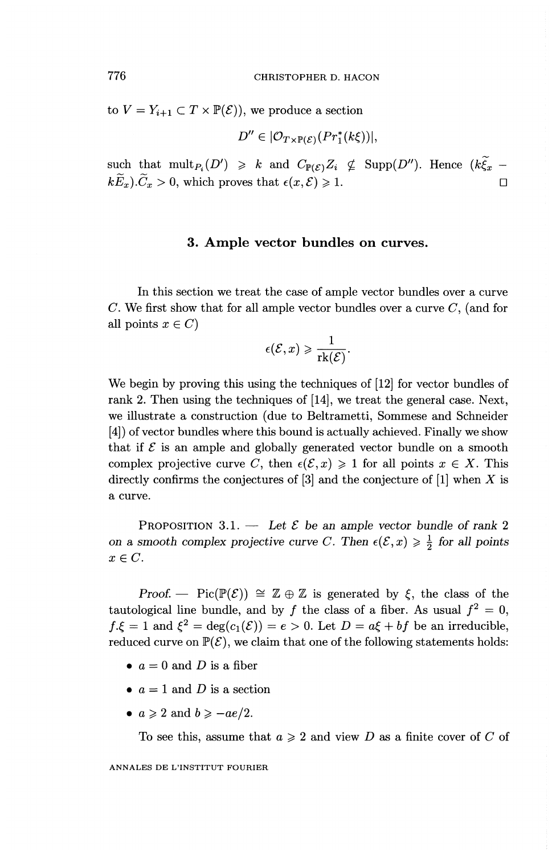to  $V = Y_{i+1} \subset T \times \mathbb{P}(\mathcal{E})$ , we produce a section

$$
D'' \in |\mathcal{O}_{T \times \mathbb{P}(\mathcal{E})}(Pr_1^*(k\xi))|,
$$

such that  $\text{mult}_{P_i}(D') \geq k$  and  $C_{\mathbb{P}(\mathcal{E})}Z_i \not\subseteq \text{Supp}(D'')$ . Hence  $(k\tilde{\xi}_x$  $k\widetilde{E}_x$ .  $\widetilde{C}_x > 0$ , which proves that  $\epsilon(x,\mathcal{E}) \geq 1$ .

#### **3. Ample vector bundles on curves.**

In this section we treat the case of ample vector bundles over a curve  $C$ . We first show that for all ample vector bundles over a curve  $C$ , (and for all points  $x \in C$ )

$$
\epsilon(\mathcal{E},x) \geqslant \frac{1}{\mathrm{rk}(\mathcal{E})}.
$$

We begin by proving this using the techniques of [12] for vector bundles of rank 2. Then using the techniques of [14], we treat the general case. Next, we illustrate a construction (due to Beltrametti, Sommese and Schneider [4]) of vector bundles where this bound is actually achieved. Finally we show that if  $\mathcal E$  is an ample and globally generated vector bundle on a smooth complex projective curve C, then  $\epsilon(\mathcal{E}, x) \geq 1$  for all points  $x \in X$ . This directly confirms the conjectures of [3] and the conjecture of [1] when *X* is a curve.

PROPOSITION 3.1. — Let  $\mathcal E$  be an ample vector bundle of rank 2 *on a smooth complex projective curve C. Then*  $\epsilon(\mathcal{E}, x) \geq \frac{1}{2}$  for all points  $x \in C$ .

*Proof.* — Pic( $\mathbb{P}(\mathcal{E})$ )  $\cong \mathbb{Z} \oplus \mathbb{Z}$  is generated by  $\xi$ , the class of the tautological line bundle, and by f the class of a fiber. As usual  $f^2 = 0$ ,  $f.\xi = 1$  and  $\xi^2 = \deg(c_1(\mathcal{E})) = e > 0$ . Let  $D = a\xi + bf$  be an irreducible, reduced curve on  $\mathbb{P}(\mathcal{E})$ , we claim that one of the following statements holds:

- $a = 0$  and D is a fiber
- $a = 1$  and D is a section
- $a \geqslant 2$  and  $b \geqslant -ae/2$ .

To see this, assume that  $a \geq 2$  and view D as a finite cover of C of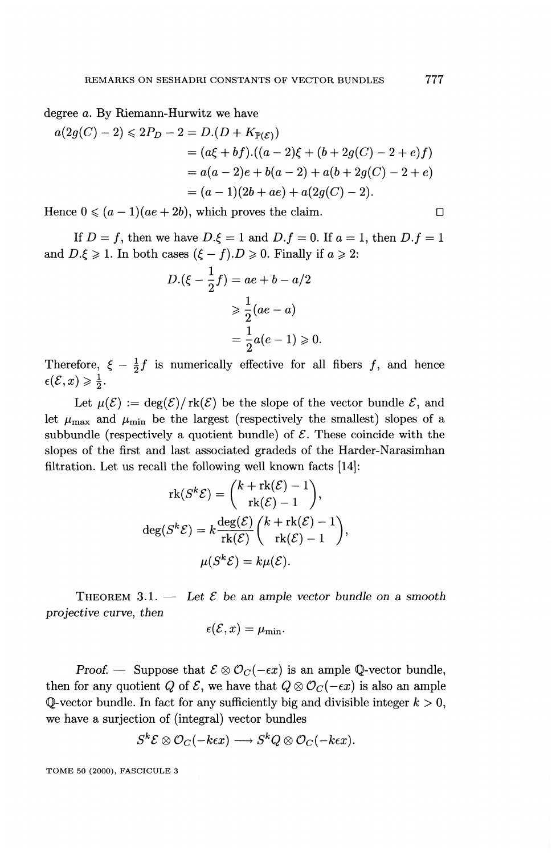degree a. By Riemann-Hurwitz we have

$$
a(2g(C) - 2) \le 2P_D - 2 = D.(D + K_{\mathbb{P}(\mathcal{E})})
$$
  
=  $(a\xi + bf).((a - 2)\xi + (b + 2g(C) - 2 + e)f)$   
=  $a(a - 2)e + b(a - 2) + a(b + 2g(C) - 2 + e)$   
=  $(a - 1)(2b + ae) + a(2g(C) - 2).$ 

Hence  $0 \leqslant (a - 1)(ae + 2b)$ , which proves the claim.

If  $D = f$ , then we have  $D.\xi = 1$  and  $D.f = 0$ . If  $a = 1$ , then  $D.f = 1$ and  $D.\xi \geq 1$ . In both cases  $(\xi - f).D \geq 0$ . Finally if  $a \geq 2$ :

$$
D.(\xi - \frac{1}{2}f) = ae + b - a/2
$$

$$
\geq \frac{1}{2}(ae - a)
$$

$$
= \frac{1}{2}a(e - 1) \geq 0.
$$

Therefore,  $\xi - \frac{1}{2}f$  is numerically effective for all fibers f, and hence  $\epsilon(\mathcal{E},x)\geqslant\frac{1}{2}.$ 

Let  $\mu(\mathcal{E}) := \deg(\mathcal{E})/\mathrm{rk}(\mathcal{E})$  be the slope of the vector bundle  $\mathcal{E}$ , and let  $\mu_{\text{max}}$  and  $\mu_{\text{min}}$  be the largest (respectively the smallest) slopes of a subbundle (respectively a quotient bundle) of  $\mathcal{E}$ . These coincide with the slopes of the first and last associated gradeds of the Harder-Narasimhan

filtration. Let us recall the following well known facts [14]  
\n
$$
\operatorname{rk}(S^k \mathcal{E}) = {k + \operatorname{rk}(\mathcal{E}) - 1 \choose \operatorname{rk}(\mathcal{E}) - 1},
$$
\n
$$
\deg(S^k \mathcal{E}) = k \frac{\deg(\mathcal{E})}{\operatorname{rk}(\mathcal{E})} {k + \operatorname{rk}(\mathcal{E}) - 1 \choose \operatorname{rk}(\mathcal{E}) - 1},
$$
\n
$$
\mu(S^k \mathcal{E}) = k \mu(\mathcal{E}).
$$

THEOREM  $3.1.$  — Let  $\mathcal E$  be an ample vector bundle on a smooth *projective curve, then* 

$$
\epsilon(\mathcal{E},x)=\mu_{\min}.
$$

**Proof.** — Suppose that  $\mathcal{E} \otimes \mathcal{O}_C(-\epsilon x)$  is an ample Q-vector bundle, then for any quotient *Q* of  $\mathcal{E}$ , we have that  $Q \otimes \mathcal{O}_C(-\epsilon x)$  is also an ample Q-vector bundle. In fact for any sufficiently big and divisible integer  $k > 0$ , we have a surjection of (integral) vector bundles

$$
S^k {\mathcal E} \otimes {\mathcal O}_C(-k\epsilon x) \longrightarrow S^k Q \otimes {\mathcal O}_C(-k\epsilon x).
$$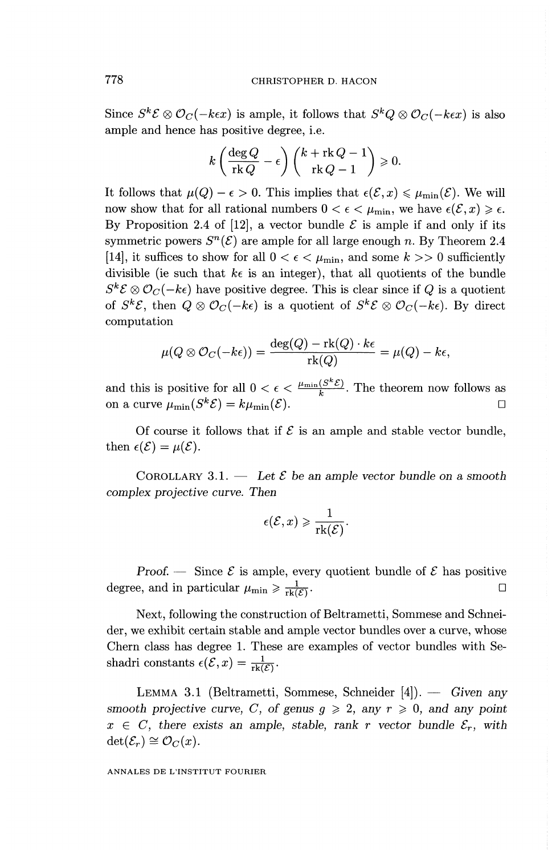Since  $S^k \mathcal{E} \otimes \mathcal{O}_C(-k\epsilon x)$  is ample, it follows that  $S^k Q \otimes \mathcal{O}_C(-k\epsilon x)$  is also ample and hence has positive degree, i.e.

$$
k\left(\frac{\deg Q}{\operatorname{rk} Q}-\epsilon\right)\binom{k+\operatorname{rk} Q-1}{\operatorname{rk} Q-1}\geqslant 0.
$$

It follows that  $\mu(Q) - \epsilon > 0$ . This implies that  $\epsilon(\mathcal{E},x) \leq \mu_{\min}(\mathcal{E})$ . We will now show that for all rational numbers  $0 < \epsilon < \mu_{\min}$ , we have  $\epsilon(\mathcal{E}, x) \geq \epsilon$ . By Proposition 2.4 of [12], a vector bundle  $\mathcal E$  is ample if and only if its symmetric powers  $S^n(\mathcal{E})$  are ample for all large enough *n*. By Theorem 2.4 [14], it suffices to show for all  $0 < \epsilon < \mu_{\min}$ , and some  $k >> 0$  sufficiently divisible (ie such that  $k\epsilon$  is an integer), that all quotients of the bundle  $S^k \mathcal{E} \otimes \mathcal{O}_C(-k\epsilon)$  have positive degree. This is clear since if *Q* is a quotient of  $S^k \mathcal{E}$ , then  $Q \otimes \mathcal{O}_C(-k\epsilon)$  is a quotient of  $S^k \mathcal{E} \otimes \mathcal{O}_C(-k\epsilon)$ . By direct computation

$$
\mu(Q \otimes \mathcal{O}_C(-k\epsilon)) = \frac{\deg(Q) - \text{rk}(Q) \cdot k\epsilon}{\text{rk}(Q)} = \mu(Q) - k\epsilon,
$$
  
where  $\mu(Q \otimes \mathcal{O}_C(-k\epsilon)) = \frac{\deg(Q) - \text{rk}(Q) \cdot k\epsilon}{\text{rk}(Q)} = \mu(Q) - k\epsilon,$ 

and this is positive for all  $0 < \epsilon < \frac{\mu_{\min}(S^k \mathcal{E})}{k}$ . The theorem now follows as on a curve  $\mu_{\min}(S^k \mathcal{E}) = k \mu_{\min}(\mathcal{E}).$ 

Of course it follows that if  $\mathcal E$  is an ample and stable vector bundle, then  $\epsilon(\mathcal{E}) = \mu(\mathcal{E})$ .

COROLLARY 3.1.  $-$  Let  $\mathcal E$  be an ample vector bundle on a smooth *complex projective curve. Then* 

$$
\epsilon(\mathcal{E},x) \geqslant \frac{1}{\mathrm{rk}(\mathcal{E})}.
$$

*Proof.* — Since  $\mathcal{E}$  is ample, every quotient bundle of  $\mathcal{E}$  has positive degree, and in particular  $\mu_{\min} \geqslant \frac{1}{\text{rk}(\mathcal{E})}$ .  $\overline{\mathcal{E}}$  .  $\Box$ 

Next, following the construction of Beltrametti, Sommese and Schneider, we exhibit certain stable and ample vector bundles over a curve, whose Chern class has degree 1. These are examples of vector bundles with Seshadri constants  $\epsilon(\mathcal{E}, x) = \frac{1}{\text{rk}(\mathcal{E})}$ .

LEMMA 3.1 (Beltrametti, Sommese, Schneider [4]). — *Given any smooth projective curve, C, of genus*  $g \ge 2$ *, any*  $r \ge 0$ *, and any point*  $x \in C$ , there exists an ample, stable, rank r vector bundle  $\mathcal{E}_r$ , with  $\det(\mathcal{E}_r) \cong \mathcal{O}_C(x)$ .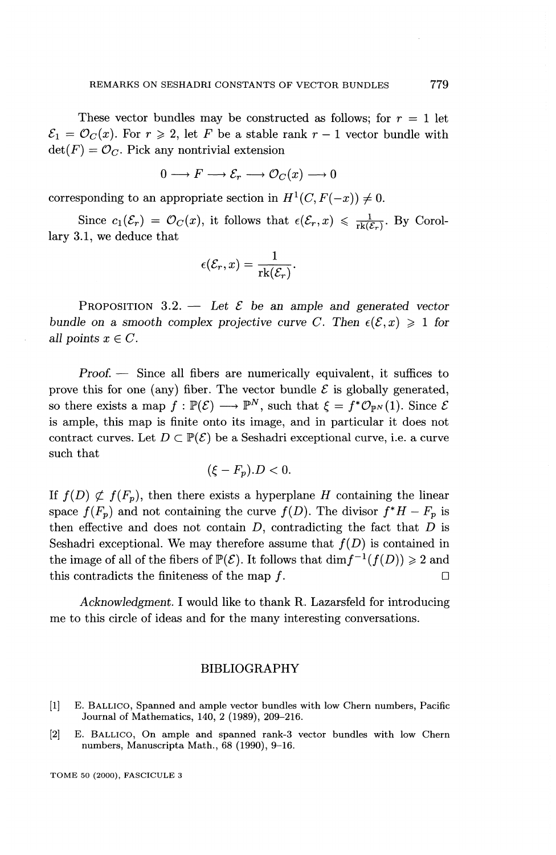These vector bundles may be constructed as follows; for *r =* 1 let  $\mathcal{E}_1 = \mathcal{O}_C(x)$ . For  $r \ge 2$ , let F be a stable rank  $r-1$  vector bundle with  $\det(F) = \mathcal{O}_C$ . Pick any nontrivial extension

$$
0 \longrightarrow F \longrightarrow \mathcal{E}_r \longrightarrow \mathcal{O}_C(x) \longrightarrow 0
$$

corresponding to an appropriate section in  $H^1(C, F(-x)) \neq 0$ .

Since  $c_1(\mathcal{E}_r) = \mathcal{O}_C(x)$ , it follows that  $\epsilon(\mathcal{E}_r, x) \leq \frac{1}{\text{rk}(\mathcal{E}_r)}$ . By Corol lary 3.1, we deduce that

$$
\epsilon(\mathcal{E}_r,x)=\frac{1}{\mathrm{rk}(\mathcal{E}_r)}.
$$

PROPOSITION  $3.2.$  — Let  $\mathcal E$  be an ample and generated vector *bundle on a smooth complex projective curve C. Then*  $\epsilon(\mathcal{E},x) \geq 1$  for *all points*  $x \in C$ *.* 

*Proof. —* Since all fibers are numerically equivalent, it suffices to prove this for one (any) fiber. The vector bundle  $\mathcal E$  is globally generated, so there exists a map  $f : \mathbb{P}(\mathcal{E}) \longrightarrow \mathbb{P}^N$ , such that  $\xi = f^* \mathcal{O}_{\mathbb{P}^N}(1)$ . Since  $\mathcal{E}$ is ample, this map is finite onto its image, and in particular it does not contract curves. Let  $D \subset \mathbb{P}(\mathcal{E})$  be a Seshadri exceptional curve, i.e. a curve such that

$$
(\xi - F_p).D < 0.
$$

If  $f(D) \not\subset f(F_p)$ , then there exists a hyperplane *H* containing the linear space  $f(F_p)$  and not containing the curve  $f(D)$ . The divisor  $f^*H - F_p$  is then effective and does not contain D, contradicting the fact that *D* is Seshadri exceptional. We may therefore assume that  $f(D)$  is contained in the image of all of the fibers of  $\mathbb{P}(\mathcal{E})$ . It follows that  $\dim f^{-1}(f(D)) \geq 2$  and this contradicts the finiteness of the map  $f$ .

*Acknowledgment.* I would like to thank R. Lazarsfeld for introducing me to this circle of ideas and for the many interesting conversations.

#### BIBLIOGRAPHY

- [1] E. BALLICO, Spanned and ample vector bundles with low Chern numbers, Pacific Journal of Mathematics, 140, 2 (1989), 209-216.
- [2] E. BALLICO, On ample and spanned rank-3 vector bundles with low Chern numbers, Manuscripta Math., 68 (1990), 9-16.